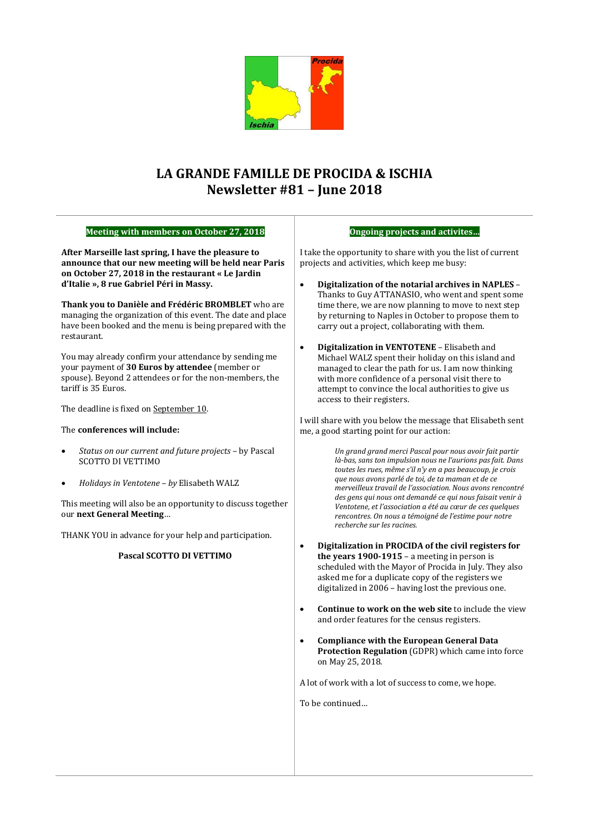

# **LA GRANDE FAMILLE DE PROCIDA & ISCHIA Newsletter #81 – June 2018**

### **Meeting with members on October 27, 2018**

**After Marseille last spring, I have the pleasure to announce that our new meeting will be held near Paris on October 27, 2018 in the restaurant « Le Jardin d'Italie », 8 rue Gabriel Péri in Massy.**

**Thank you to Danièle and Frédéric BROMBLET** who are managing the organization of this event. The date and place have been booked and the menu is being prepared with the restaurant.

You may already confirm your attendance by sending me your payment of **30 Euros by attendee** (member or spouse). Beyond 2 attendees or for the non-members, the tariff is 35 Euros.

The deadline is fixed on September 10.

### The **conferences will include:**

- *Status on our current and future projects* by Pascal SCOTTO DI VETTIMO
- *Holidays in Ventotene – by* Elisabeth WALZ

This meeting will also be an opportunity to discuss together our **next General Meeting**…

THANK YOU in advance for your help and participation.

### **Pascal SCOTTO DI VETTIMO**

#### **Ongoing projects and activites…**

I take the opportunity to share with you the list of current projects and activities, which keep me busy:

- **Digitalization of the notarial archives in NAPLES** Thanks to Guy ATTANASIO, who went and spent some time there, we are now planning to move to next step by returning to Naples in October to propose them to carry out a project, collaborating with them.
- **Digitalization in VENTOTENE** Elisabeth and Michael WALZ spent their holiday on this island and managed to clear the path for us. I am now thinking with more confidence of a personal visit there to attempt to convince the local authorities to give us access to their registers.

I will share with you below the message that Elisabeth sent me, a good starting point for our action:

> *Un grand grand merci Pascal pour nous avoir fait partir là-bas, sans ton impulsion nous ne l'aurions pas fait. Dans toutes les rues, même s'il n'y en a pas beaucoup, je crois que nous avons parlé de toi, de ta maman et de ce merveilleux travail de l'association. Nous avons rencontré des gens qui nous ont demandé ce qui nous faisait venir à Ventotene, et l'association a été au cœur de ces quelques rencontres. On nous a témoigné de l'estime pour notre recherche sur les racines.*

- **Digitalization in PROCIDA of the civil registers for the years 1900-1915** – a meeting in person is scheduled with the Mayor of Procida in July. They also asked me for a duplicate copy of the registers we digitalized in 2006 – having lost the previous one.
- **Continue to work on the web site** to include the view and order features for the census registers.
- **Compliance with the European General Data Protection Regulation** (GDPR) which came into force on May 25, 2018.

A lot of work with a lot of success to come, we hope.

To be continued…